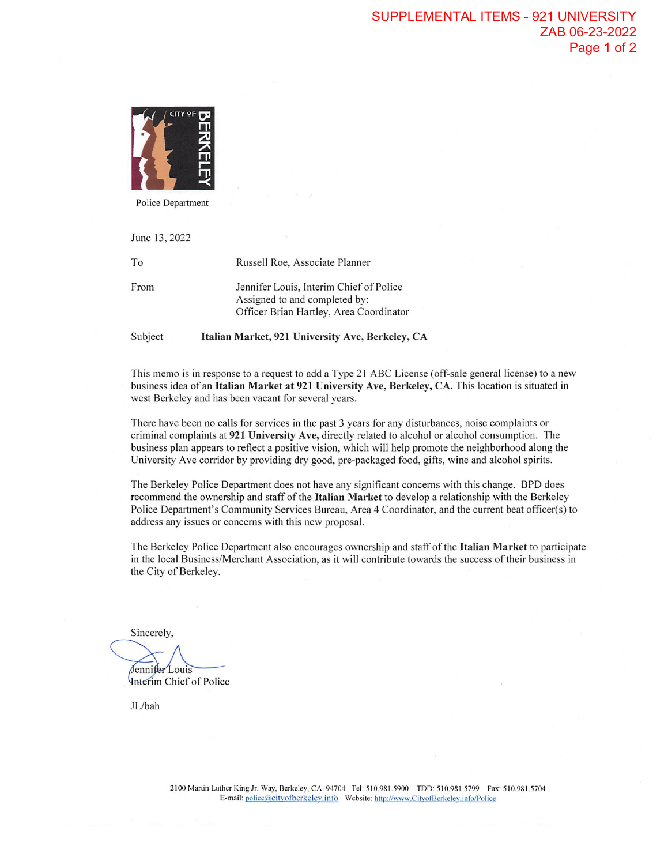## **SUPPLEMENTAL ITEMS - 921 UNIVERSITY** ZAB 06-23-2022 Page 1 of 2



Police Department

| June 13, 2022 |                                                                                                                     |
|---------------|---------------------------------------------------------------------------------------------------------------------|
| To            | Russell Roe, Associate Planner                                                                                      |
| From          | Jennifer Louis, Interim Chief of Police<br>Assigned to and completed by:<br>Officer Brian Hartley, Area Coordinator |
| Subject       | Italian Market, 921 University Ave, Berkeley, CA                                                                    |

This memo is in response to a request to add a Type 21 ABC License (off-sale general license) to a new business idea of an Italian Market at 921 University Ave, Berkeley, CA. This location is situated in west Berkeley and has been vacant for several years.

There have been no calls for services in the past 3 years for any disturbances, noise complaints or criminal complaints at 921 University Ave, directly related to alcohol or alcohol consumption. The business plan appears to reflect a positive vision, which will help promote the neighborhood along the University Ave corridor by providing dry good, pre-packaged food, gifts, wine and alcohol spirits.

The Berkeley Police Department does not have any significant concerns with this change. BPD does recommend the ownership and staff of the Italian Market to develop a relationship with the Berkeley Police Department's Community Services Bureau, Area 4 Coordinator, and the current beat officer(s) to address any issues or concerns with this new proposal.

The Berkeley Police Department also encourages ownership and staff of the Italian Market to participate in the local Business/Merchant Association, as it will contribute towards the success of their business in the City of Berkeley.

Sincerely,

Jennifer Louis Interim Chief of Police

JL/bah